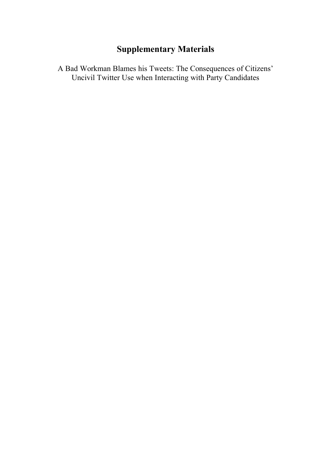# **Supplementary Materials**

A Bad Workman Blames his Tweets: The Consequences of Citizens' Uncivil Twitter Use when Interacting with Party Candidates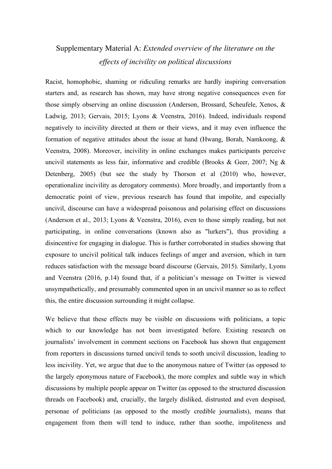# Supplementary Material A: *Extended overview of the literature on the effects of incivility on political discussions*

Racist, homophobic, shaming or ridiculing remarks are hardly inspiring conversation starters and, as research has shown, may have strong negative consequences even for those simply observing an online discussion (Anderson, Brossard, Scheufele, Xenos, & Ladwig, 2013; Gervais, 2015; Lyons & Veenstra, 2016). Indeed, individuals respond negatively to incivility directed at them or their views, and it may even influence the formation of negative attitudes about the issue at hand (Hwang, Borah, Namkoong, & Veenstra, 2008). Moreover, incivility in online exchanges makes participants perceive uncivil statements as less fair, informative and credible (Brooks & Geer, 2007; Ng  $\&$ Detenberg, 2005) (but see the study by Thorson et al (2010) who, however, operationalize incivility as derogatory comments). More broadly, and importantly from a democratic point of view, previous research has found that impolite, and especially uncivil, discourse can have a widespread poisonous and polarising effect on discussions (Anderson et al., 2013; Lyons & Veenstra, 2016), even to those simply reading, but not participating, in online conversations (known also as "lurkers"), thus providing a disincentive for engaging in dialogue. This is further corroborated in studies showing that exposure to uncivil political talk induces feelings of anger and aversion, which in turn reduces satisfaction with the message board discourse (Gervais, 2015). Similarly, Lyons and Veenstra (2016, p.14) found that, if a politician's message on Twitter is viewed unsympathetically, and presumably commented upon in an uncivil manner so as to reflect this, the entire discussion surrounding it might collapse.

We believe that these effects may be visible on discussions with politicians, a topic which to our knowledge has not been investigated before. Existing research on journalists' involvement in comment sections on Facebook has shown that engagement from reporters in discussions turned uncivil tends to sooth uncivil discussion, leading to less incivility. Yet, we argue that due to the anonymous nature of Twitter (as opposed to the largely eponymous nature of Facebook), the more complex and subtle way in which discussions by multiple people appear on Twitter (as opposed to the structured discussion threads on Facebook) and, crucially, the largely disliked, distrusted and even despised, personae of politicians (as opposed to the mostly credible journalists), means that engagement from them will tend to induce, rather than soothe, impoliteness and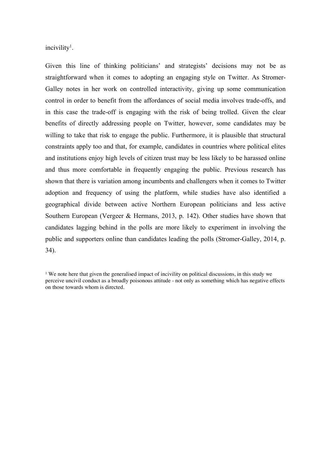incivility<sup>1</sup>.

Given this line of thinking politicians' and strategists' decisions may not be as straightforward when it comes to adopting an engaging style on Twitter. As Stromer-Galley notes in her work on controlled interactivity, giving up some communication control in order to benefit from the affordances of social media involves trade-offs, and in this case the trade-off is engaging with the risk of being trolled. Given the clear benefits of directly addressing people on Twitter, however, some candidates may be willing to take that risk to engage the public. Furthermore, it is plausible that structural constraints apply too and that, for example, candidates in countries where political elites and institutions enjoy high levels of citizen trust may be less likely to be harassed online and thus more comfortable in frequently engaging the public. Previous research has shown that there is variation among incumbents and challengers when it comes to Twitter adoption and frequency of using the platform, while studies have also identified a geographical divide between active Northern European politicians and less active Southern European (Vergeer & Hermans, 2013, p. 142). Other studies have shown that candidates lagging behind in the polls are more likely to experiment in involving the public and supporters online than candidates leading the polls (Stromer-Galley, 2014, p. 34).

<sup>1</sup> We note here that given the generalised impact of incivility on political discussions, in this study we perceive uncivil conduct as a broadly poisonous attitude - not only as something which has negative effects on those towards whom is directed.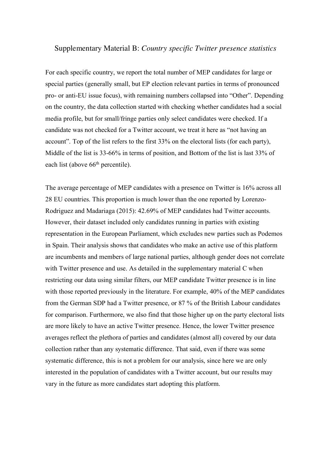## Supplementary Material B: *Country specific Twitter presence statistics*

For each specific country, we report the total number of MEP candidates for large or special parties (generally small, but EP election relevant parties in terms of pronounced pro- or anti-EU issue focus), with remaining numbers collapsed into "Other". Depending on the country, the data collection started with checking whether candidates had a social media profile, but for small/fringe parties only select candidates were checked. If a candidate was not checked for a Twitter account, we treat it here as "not having an account". Top of the list refers to the first 33% on the electoral lists (for each party), Middle of the list is 33-66% in terms of position, and Bottom of the list is last 33% of each list (above  $66<sup>th</sup>$  percentile).

The average percentage of MEP candidates with a presence on Twitter is 16% across all 28 EU countries. This proportion is much lower than the one reported by Lorenzo-Rodriguez and Madariaga (2015): 42.69% of MEP candidates had Twitter accounts. However, their dataset included only candidates running in parties with existing representation in the European Parliament, which excludes new parties such as Podemos in Spain. Their analysis shows that candidates who make an active use of this platform are incumbents and members of large national parties, although gender does not correlate with Twitter presence and use. As detailed in the supplementary material C when restricting our data using similar filters, our MEP candidate Twitter presence is in line with those reported previously in the literature. For example, 40% of the MEP candidates from the German SDP had a Twitter presence, or 87 % of the British Labour candidates for comparison. Furthermore, we also find that those higher up on the party electoral lists are more likely to have an active Twitter presence. Hence, the lower Twitter presence averages reflect the plethora of parties and candidates (almost all) covered by our data collection rather than any systematic difference. That said, even if there was some systematic difference, this is not a problem for our analysis, since here we are only interested in the population of candidates with a Twitter account, but our results may vary in the future as more candidates start adopting this platform.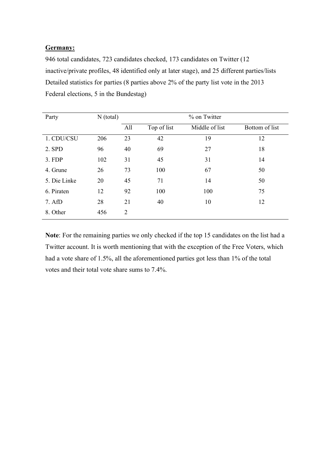### **Germany:**

946 total candidates, 723 candidates checked, 173 candidates on Twitter (12 inactive/private profiles, 48 identified only at later stage), and 25 different parties/lists Detailed statistics for parties (8 parties above 2% of the party list vote in the 2013 Federal elections, 5 in the Bundestag)

| Party        | $N$ (total) | % on Twitter |             |                |                |
|--------------|-------------|--------------|-------------|----------------|----------------|
|              |             | All          | Top of list | Middle of list | Bottom of list |
| 1. CDU/CSU   | 206         | 23           | 42          | 19             | 12             |
| 2. SPD       | 96          | 40           | 69          | 27             | 18             |
| 3. FDP       | 102         | 31           | 45          | 31             | 14             |
| 4. Grune     | 26          | 73           | 100         | 67             | 50             |
| 5. Die Linke | 20          | 45           | 71          | 14             | 50             |
| 6. Piraten   | 12          | 92           | 100         | 100            | 75             |
| 7. AfD       | 28          | 21           | 40          | 10             | 12             |
| 8. Other     | 456         | 2            |             |                |                |

**Note**: For the remaining parties we only checked if the top 15 candidates on the list had a Twitter account. It is worth mentioning that with the exception of the Free Voters, which had a vote share of 1.5%, all the aforementioned parties got less than 1% of the total votes and their total vote share sums to 7.4%.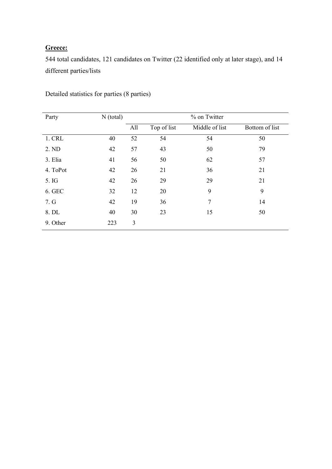## **Greece:**

544 total candidates, 121 candidates on Twitter (22 identified only at later stage), and 14 different parties/lists

| Party    | $N$ (total) | % on Twitter |             |                |                |
|----------|-------------|--------------|-------------|----------------|----------------|
|          |             | All          | Top of list | Middle of list | Bottom of list |
| 1. CRL   | 40          | 52           | 54          | 54             | 50             |
| 2. ND    | 42          | 57           | 43          | 50             | 79             |
| 3. Elia  | 41          | 56           | 50          | 62             | 57             |
| 4. ToPot | 42          | 26           | 21          | 36             | 21             |
| 5. IG    | 42          | 26           | 29          | 29             | 21             |
| 6. GEC   | 32          | 12           | 20          | 9              | 9              |
| 7. G     | 42          | 19           | 36          | 7              | 14             |
| 8. DL    | 40          | 30           | 23          | 15             | 50             |
| 9. Other | 223         | 3            |             |                |                |

Detailed statistics for parties (8 parties)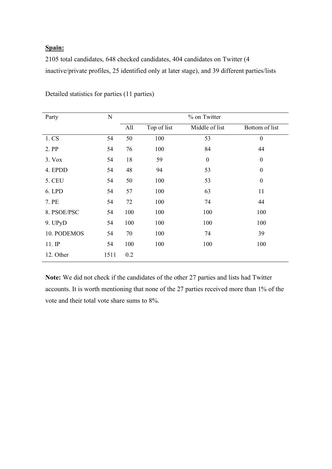## **Spain:**

2105 total candidates, 648 checked candidates, 404 candidates on Twitter (4 inactive/private profiles, 25 identified only at later stage), and 39 different parties/lists

| Party         | ${\bf N}$ |     |             | % on Twitter     |                  |
|---------------|-----------|-----|-------------|------------------|------------------|
|               |           | All | Top of list | Middle of list   | Bottom of list   |
| 1. CS         | 54        | 50  | 100         | 53               | $\boldsymbol{0}$ |
| 2. PP         | 54        | 76  | 100         | 84               | 44               |
| 3. Vox        | 54        | 18  | 59          | $\boldsymbol{0}$ | $\boldsymbol{0}$ |
| 4. EPDD       | 54        | 48  | 94          | 53               | $\boldsymbol{0}$ |
| <b>5. CEU</b> | 54        | 50  | 100         | 53               | $\boldsymbol{0}$ |
| 6. LPD        | 54        | 57  | 100         | 63               | 11               |
| 7. PE         | 54        | 72  | 100         | 74               | 44               |
| 8. PSOE/PSC   | 54        | 100 | 100         | 100              | 100              |
| 9. UPyD       | 54        | 100 | 100         | 100              | 100              |
| 10. PODEMOS   | 54        | 70  | 100         | 74               | 39               |
| $11.$ IP      | 54        | 100 | 100         | 100              | 100              |
| 12. Other     | 1511      | 0.2 |             |                  |                  |

Detailed statistics for parties (11 parties)

**Note:** We did not check if the candidates of the other 27 parties and lists had Twitter accounts. It is worth mentioning that none of the 27 parties received more than 1% of the vote and their total vote share sums to 8%.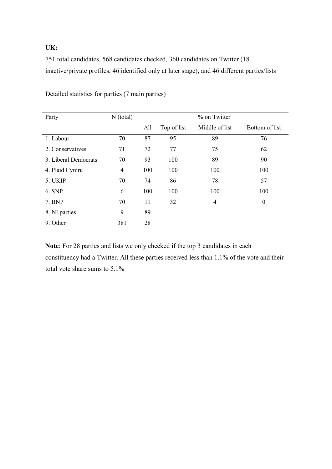## **UK:**

751 total candidates, 568 candidates checked, 360 candidates on Twitter (18 inactive/private profiles, 46 identified only at later stage), and 46 different parties/lists

| Party                | $N$ (total)    |     |             | % on Twitter   |                  |
|----------------------|----------------|-----|-------------|----------------|------------------|
|                      |                | All | Top of list | Middle of list | Bottom of list   |
| 1. Labour            | 70             | 87  | 95          | 89             | 76               |
| 2. Conservatives     | 71             | 72  | 77          | 75             | 62               |
| 3. Liberal Democrats | 70             | 93  | 100         | 89             | 90               |
| 4. Plaid Cymru       | $\overline{4}$ | 100 | 100         | 100            | 100              |
| 5. UKIP              | 70             | 74  | 86          | 78             | 57               |
| 6. SNP               | 6              | 100 | 100         | 100            | 100              |
| 7. BNP               | 70             | 11  | 32          | 4              | $\boldsymbol{0}$ |
| 8. NI parties        | 9              | 89  |             |                |                  |
| 9. Other             | 381            | 28  |             |                |                  |

Detailed statistics for parties (7 main parties)

**Note**: For 28 parties and lists we only checked if the top 3 candidates in each constituency had a Twitter. All these parties received less than 1.1% of the vote and their total vote share sums to 5.1%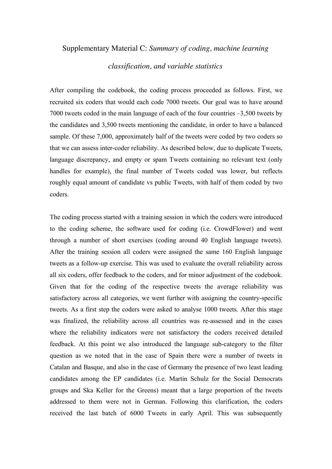### Supplementary Material C: *Summary of coding, machine learning*

## *classification, and variable statistics*

After compiling the codebook, the coding process proceeded as follows. First, we recruited six coders that would each code 7000 tweets. Our goal was to have around 7000 tweets coded in the main language of each of the four countries –3,500 tweets by the candidates and 3,500 tweets mentioning the candidate, in order to have a balanced sample. Of these 7,000, approximately half of the tweets were coded by two coders so that we can assess inter-coder reliability. As described below, due to duplicate Tweets, language discrepancy, and empty or spam Tweets containing no relevant text (only handles for example), the final number of Tweets coded was lower, but reflects roughly equal amount of candidate vs public Tweets, with half of them coded by two coders.

The coding process started with a training session in which the coders were introduced to the coding scheme, the software used for coding (i.e. CrowdFlower) and went through a number of short exercises (coding around 40 English language tweets). After the training session all coders were assigned the same 160 English language tweets as a follow-up exercise. This was used to evaluate the overall reliability across all six coders, offer feedback to the coders, and for minor adjustment of the codebook. Given that for the coding of the respective tweets the average reliability was satisfactory across all categories, we went further with assigning the country-specific tweets. As a first step the coders were asked to analyse 1000 tweets. After this stage was finalized, the reliability across all countries was re-assessed and in the cases where the reliability indicators were not satisfactory the coders received detailed feedback. At this point we also introduced the language sub-category to the filter question as we noted that in the case of Spain there were a number of tweets in Catalan and Basque, and also in the case of Germany the presence of two least leading candidates among the EP candidates (i.e. Martin Schulz for the Social Democrats groups and Ska Keller for the Greens) meant that a large proportion of the tweets addressed to them were not in German. Following this clarification, the coders received the last batch of 6000 Tweets in early April. This was subsequently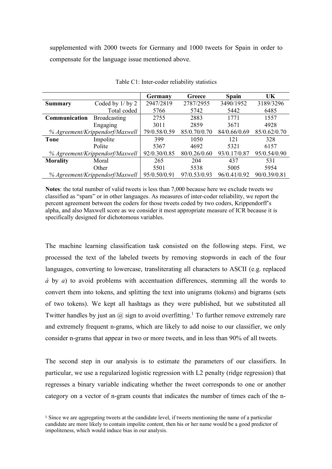supplemented with 2000 tweets for Germany and 1000 tweets for Spain in order to compensate for the language issue mentioned above.

|                 |                                 | Germany      | Greece       | <b>Spain</b> | UK           |
|-----------------|---------------------------------|--------------|--------------|--------------|--------------|
| <b>Summary</b>  | Coded by 1/ by 2                | 2947/2819    | 2787/2955    | 3490/1952    | 3189/3296    |
|                 | Total coded                     | 5766         | 5742         | 5442         | 6485         |
| Communication   | <b>Broadcasting</b>             | 2755         | 2883         | 1771         | 1557         |
|                 | Engaging                        | 3011         | 2859         | 3671         | 4928         |
|                 | % Agreement/Krippendorf/Maxwell | 79/0.58/0.59 | 85/0.70/0.70 | 84/0.66/0.69 | 85/0.62/0.70 |
| Tone            | Impolite                        | 399          | 1050         | 121          | 328          |
|                 | Polite                          | 5367         | 4692         | 5321         | 6157         |
|                 | % Agreement/Krippendorf/Maxwell | 92/0.30/0.85 | 80/0.26/0.60 | 93/0.17/0.87 | 95/0.54/0.90 |
| <b>Morality</b> | Moral                           | 265          | 204          | 437          | 531          |
|                 | Other                           | 5501         | 5538         | 5005         | 5954         |
|                 | % Agreement/Krippendorf/Maxwell | 95/0.50/0.91 | 97/0.53/0.93 | 96/0.41/0.92 | 90/0.39/0.81 |

Table C1: Inter-coder reliability statistics

**Notes**: the total number of valid tweets is less than 7,000 because here we exclude tweets we classified as "spam" or in other languages. As measures of inter-coder reliability, we report the percent agreement between the coders for those tweets coded by two coders, Krippendorff's alpha, and also Maxwell score as we consider it most appropriate measure of ICR because it is specifically designed for dichotomous variables.

The machine learning classification task consisted on the following steps. First, we processed the text of the labeled tweets by removing stopwords in each of the four languages, converting to lowercase, transliterating all characters to ASCII (e.g. replaced *á* by *a*) to avoid problems with accentuation differences, stemming all the words to convert them into tokens, and splitting the text into unigrams (tokens) and bigrams (sets of two tokens). We kept all hashtags as they were published, but we substituted all Twitter handles by just an  $\omega$  sign to avoid overfitting.<sup>1</sup> To further remove extremely rare and extremely frequent n-grams, which are likely to add noise to our classifier, we only consider n-grams that appear in two or more tweets, and in less than 90% of all tweets.

The second step in our analysis is to estimate the parameters of our classifiers. In particular, we use a regularized logistic regression with L2 penalty (ridge regression) that regresses a binary variable indicating whether the tweet corresponds to one or another category on a vector of n-gram counts that indicates the number of times each of the n-

<sup>1</sup> Since we are aggregating tweets at the candidate level, if tweets mentioning the name of a particular candidate are more likely to contain impolite content, then his or her name would be a good predictor of impoliteness, which would induce bias in our analysis.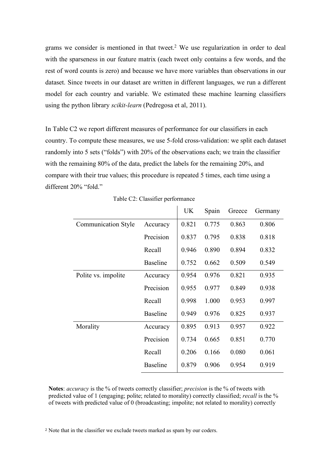grams we consider is mentioned in that tweet. <sup>2</sup> We use regularization in order to deal with the sparseness in our feature matrix (each tweet only contains a few words, and the rest of word counts is zero) and because we have more variables than observations in our dataset. Since tweets in our dataset are written in different languages, we run a different model for each country and variable. We estimated these machine learning classifiers using the python library *scikit-learn* (Pedregosa et al, 2011).

In Table C2 we report different measures of performance for our classifiers in each country. To compute these measures, we use 5-fold cross-validation: we split each dataset randomly into 5 sets ("folds") with 20% of the observations each; we train the classifier with the remaining 80% of the data, predict the labels for the remaining 20%, and compare with their true values; this procedure is repeated 5 times, each time using a different 20% "fold"

|                            |                 | <b>UK</b> | Spain | Greece | Germany |
|----------------------------|-----------------|-----------|-------|--------|---------|
| <b>Communication Style</b> | Accuracy        | 0.821     | 0.775 | 0.863  | 0.806   |
|                            | Precision       | 0.837     | 0.795 | 0.838  | 0.818   |
|                            | Recall          | 0.946     | 0.890 | 0.894  | 0.832   |
|                            | <b>Baseline</b> | 0.752     | 0.662 | 0.509  | 0.549   |
| Polite vs. impolite        | Accuracy        | 0.954     | 0.976 | 0.821  | 0.935   |
|                            | Precision       | 0.955     | 0.977 | 0.849  | 0.938   |
|                            | Recall          | 0.998     | 1.000 | 0.953  | 0.997   |
|                            | <b>Baseline</b> | 0.949     | 0.976 | 0.825  | 0.937   |
| Morality                   | Accuracy        | 0.895     | 0.913 | 0.957  | 0.922   |
|                            | Precision       | 0.734     | 0.665 | 0.851  | 0.770   |
|                            | Recall          | 0.206     | 0.166 | 0.080  | 0.061   |
|                            | <b>Baseline</b> | 0.879     | 0.906 | 0.954  | 0.919   |

| Table C2: Classifier performance |  |  |
|----------------------------------|--|--|
|----------------------------------|--|--|

**Notes**: *accuracy* is the % of tweets correctly classifier; *precision* is the % of tweets with predicted value of 1 (engaging; polite; related to morality) correctly classified; *recall* is the % of tweets with predicted value of 0 (broadcasting; impolite; not related to morality) correctly

<sup>2</sup> Note that in the classifier we exclude tweets marked as spam by our coders.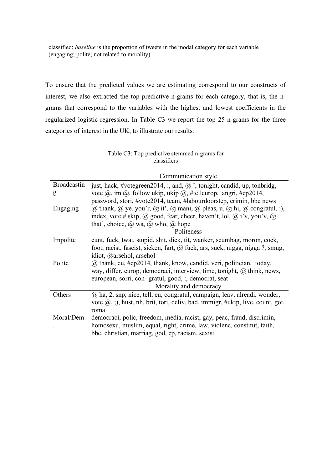classified; *baseline* is the proportion of tweets in the modal category for each variable (engaging; polite; not related to morality)

To ensure that the predicted values we are estimating correspond to our constructs of interest, we also extracted the top predictive n-grams for each category, that is, the ngrams that correspond to the variables with the highest and lowest coefficients in the regularized logistic regression. In Table C3 we report the top 25 n-grams for the three categories of interest in the UK, to illustrate our results.

#### Table C3: Top predictive stemmed n-grams for classifiers

Communication style

| <b>Broadcastin</b> | just, hack, #votegreen2014, :, and, $\omega$ , tonight, candid, up, tonbridg,         |
|--------------------|---------------------------------------------------------------------------------------|
| g                  | vote $(a)$ , im $(a)$ , follow ukip, ukip $(a)$ , #telleurop, angri, #ep2014,         |
|                    | password, stori, #vote2014, team, #labourdoorstep, crimin, bbc news                   |
| Engaging           | (a) thank, (a) ye, you'r, (a) it', (a) mani, (a) pleas, u, (a) hi, (a) congratul, :), |
|                    | index, vote # skip, @ good, fear, cheer, haven't, lol, @ i'v, you'v, @                |
|                    | that', choice, $(a)$ wa, $(a)$ who, $(a)$ hope                                        |
|                    | Politeness                                                                            |
| Impolite           | cunt, fuck, twat, stupid, shit, dick, tit, wanker, scumbag, moron, cock,              |
|                    | foot, racist, fascist, sicken, fart, @ fuck, ars, suck, nigga, nigga ?, smug,         |
|                    | idiot, @arsehol, arsehol                                                              |
| Polite             | $\omega$ thank, eu, #ep2014, thank, know, candid, veri, politician, today,            |
|                    | way, differ, europ, democraci, interview, time, tonight, $\omega$ think, news,        |
|                    | european, sorri, con-gratul, good, :, democrat, seat                                  |
|                    | Morality and democracy                                                                |
| Others             | $\omega$ ha, 2, snp, nice, tell, eu, congratul, campaign, leav, alreadi, wonder,      |
|                    | vote $(a, 1)$ , hust, nh, brit, tori, deliv, bad, immigr, #ukip, live, count, got,    |
|                    | roma                                                                                  |
| Moral/Dem          | democraci, polic, freedom, media, racist, gay, peac, fraud, discrimin,                |
|                    | homosexu, muslim, equal, right, crime, law, violenc, constitut, faith,                |
|                    | bbc, christian, marriag, god, cp, racism, sexist                                      |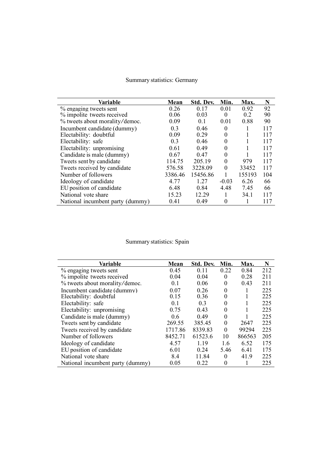# Summary statistics: Germany

| Variable                         | Mean           | Std. Dev.      | Min.     | Max.   | N   |
|----------------------------------|----------------|----------------|----------|--------|-----|
| % engaging tweets sent           | 0.26           | 0.17           | 0.01     | 0.92   | 92  |
| % impolite tweets received       | 0.06           | 0.03           | $\Omega$ | 0.2    | 90  |
| % tweets about morality/democ.   | 0.09           | 0 <sub>1</sub> | 0.01     | 0.88   | 90  |
| Incumbent candidate (dummy)      | 0.3            | 0.46           | 0        |        | 117 |
| Electability: doubtful           | 0.09           | 0.29           | 0        |        | 117 |
| Electability: safe               | 0 <sup>3</sup> | 0.46           | $\Omega$ |        | 117 |
| Electability: unpromising        | 0.61           | 0.49           | 0        |        | 117 |
| Candidate is male (dummy)        | 0.67           | 0.47           | 0        |        | 117 |
| Tweets sent by candidate         | 114.75         | 205.19         | $\Omega$ | 979    | 117 |
| Tweets received by candidate     | 576.58         | 3228.09        | $\Omega$ | 33452  | 117 |
| Number of followers              | 3386.46        | 15456.86       |          | 155193 | 104 |
| Ideology of candidate            | 4.77           | 1.27           | $-0.03$  | 6.26   | 66  |
| EU position of candidate         | 6.48           | 0.84           | 4.48     | 7.45   | 66  |
| National vote share              | 15.23          | 12.29          |          | 34.1   | 117 |
| National incumbent party (dummy) | 0.41           | 0.49           | 0        |        | 117 |

# Summary statistics: Spain

| Variable                         | Mean    | Std. Dev. | Min.     | Max.   | N   |
|----------------------------------|---------|-----------|----------|--------|-----|
| % engaging tweets sent           | 0.45    | 0.11      | 0.22     | 0.84   | 212 |
| % impolite tweets received       | 0.04    | 0.04      | $\theta$ | 0.28   | 211 |
| % tweets about morality/democ.   | 0.1     | 0.06      | $\Omega$ | 0.43   | 211 |
| Incumbent candidate (dummy)      | 0.07    | 0.26      | $\Omega$ |        | 225 |
| Electability: doubtful           | 0.15    | 0.36      | $\theta$ |        | 225 |
| Electability: safe               | 0.1     | 0.3       | $\theta$ |        | 225 |
| Electability: unpromising        | 0.75    | 0.43      | $\Omega$ |        | 225 |
| Candidate is male (dummy)        | 0.6     | 0.49      | $\Omega$ |        | 225 |
| Tweets sent by candidate         | 269.55  | 385.45    | $\theta$ | 2647   | 225 |
| Tweets received by candidate     | 1717.86 | 8339.83   | $\Omega$ | 99294  | 225 |
| Number of followers              | 8452.71 | 61523.6   | 10       | 866563 | 205 |
| Ideology of candidate            | 4.57    | 1.19      | 1.6      | 6.52   | 175 |
| EU position of candidate         | 6.01    | 0.24      | 5.46     | 6.41   | 175 |
| National vote share              | 8.4     | 11.84     | $\Omega$ | 41.9   | 225 |
| National incumbent party (dummy) | 0.05    | 0.22      | $\Omega$ |        | 225 |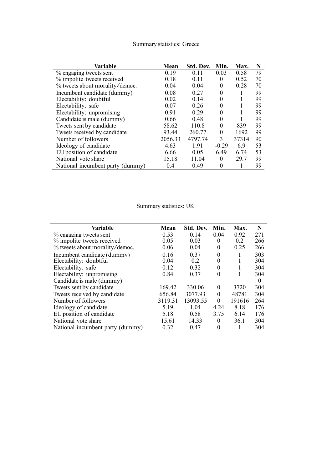| Variable                         | Mean    | Std. Dev. | Min.     | Max.  | N  |
|----------------------------------|---------|-----------|----------|-------|----|
| % engaging tweets sent           | 0.19    | 0.11      | 0.03     | 0.58  | 79 |
| % impolite tweets received       | 0.18    | 0.11      | 0        | 0.52  | 70 |
| % tweets about morality/democ.   | 0.04    | 0.04      | 0        | 0.28  | 70 |
| Incumbent candidate (dummy)      | 0.08    | 0.27      | $\theta$ | 1     | 99 |
| Electability: doubtful           | 0.02    | 0.14      | $\theta$ |       | 99 |
| Electability: safe               | 0.07    | 0.26      | 0        |       | 99 |
| Electability: unpromising        | 0.91    | 0.29      | $\Omega$ |       | 99 |
| Candidate is male (dummy)        | 0.66    | 0.48      | $\theta$ |       | 99 |
| Tweets sent by candidate         | 58.62   | 110.8     | $\Omega$ | 839   | 99 |
| Tweets received by candidate     | 93.44   | 260.77    | 0        | 1692  | 99 |
| Number of followers              | 2056.33 | 4797.74   | 3        | 37314 | 90 |
| Ideology of candidate            | 4.63    | 1.91      | $-0.29$  | 6.9   | 53 |
| EU position of candidate         | 6.66    | 0.05      | 6.49     | 6.74  | 53 |
| National vote share              | 15.18   | 11.04     | 0        | 29.7  | 99 |
| National incumbent party (dummy) | 0.4     | 0.49      | 0        |       | 99 |

## Summary statistics: Greece

# Summary statistics: UK

| Variable                         | Mean    | Std. Dev. | Min.     | Max.   | N        |
|----------------------------------|---------|-----------|----------|--------|----------|
| % engaging tweets sent           | 0.53    | 0.14      | 0.04     | 0.92   | 271      |
| % impolite tweets received       | 0.05    | 0.03      | 0        | 0.2    | 266      |
| % tweets about morality/democ.   | 0.06    | 0.04      | 0        | 0.25   | 266      |
| Incumbent candidate (dummy)      | 0.16    | 0.37      | 0        | 1      | 303      |
| Electability: doubtful           | 0.04    | 0.2       | 0        |        | 304      |
| Electability: safe               | 0.12    | 0.32      | 0        |        | 304      |
| Electability: unpromising        | 0.84    | 0.37      | $\theta$ |        | 304      |
| Candidate is male (dummy)        |         |           |          |        | $\theta$ |
| Tweets sent by candidate         | 169.42  | 330.06    | $\Omega$ | 3720   | 304      |
| Tweets received by candidate     | 656.84  | 3077.93   | $\Omega$ | 48781  | 304      |
| Number of followers              | 3119.31 | 13093.55  | $\theta$ | 191616 | 264      |
| Ideology of candidate            | 5.19    | 1.04      | 4.24     | 8.18   | 176      |
| EU position of candidate         | 5.18    | 0.58      | 3.75     | 6.14   | 176      |
| National vote share              | 15.61   | 14.33     | $\Omega$ | 36.1   | 304      |
| National incumbent party (dummy) | 0.32    | 0.47      | 0        |        | 304      |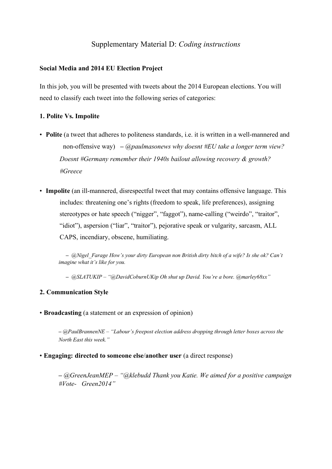## Supplementary Material D: *Coding instructions*

### **Social Media and 2014 EU Election Project**

In this job, you will be presented with tweets about the 2014 European elections. You will need to classify each tweet into the following series of categories:

#### **1. Polite Vs. Impolite**

- **Polite** (a tweet that adheres to politeness standards, i.e. it is written in a well-mannered and non-offensive way) **–** *@paulmasonews why doesnt #EU take a longer term view? Doesnt #Germany remember their 1940s bailout allowing recovery & growth? #Greece*
- Impolite (an ill-mannered, disrespectful tweet that may contains offensive language. This includes: threatening one's rights (freedom to speak, life preferences), assigning stereotypes or hate speech ("nigger", "faggot"), name-calling ("weirdo", "traitor", "idiot"), aspersion ("liar", "traitor"), pejorative speak or vulgarity, sarcasm, ALL CAPS, incendiary, obscene, humiliating.

**–** *@Nigel\_Farage How's your dirty European non British dirty bitch of a wife? Is she ok? Can't imagine what it's like for you.* 

**–** *@SLATUKIP – "@DavidCoburnUKip Oh shut up David. You're a bore. @marley68xx"* 

#### **2. Communication Style**

• **Broadcasting** (a statement or an expression of opinion)

**–** *@PaulBrannenNE – "Labour's freepost election address dropping through letter boxes across the North East this week."*

#### • **Engaging: directed to someone else**/**another user** (a direct response)

**–** *@GreenJeanMEP – "@klebudd Thank you Katie. We aimed for a positive campaign #Vote- Green2014"*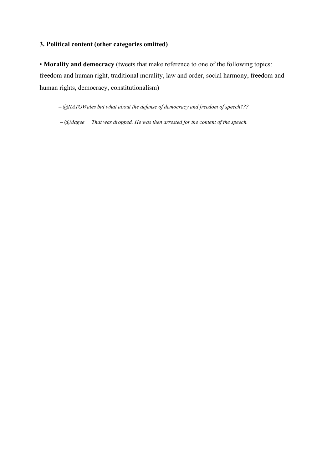## **3. Political content (other categories omitted)**

• **Morality and democracy** (tweets that make reference to one of the following topics: freedom and human right, traditional morality, law and order, social harmony, freedom and human rights, democracy, constitutionalism)

**–** *@NATOWales but what about the defense of democracy and freedom of speech???*

**–** *@Magee\_\_ That was dropped. He was then arrested for the content of the speech.*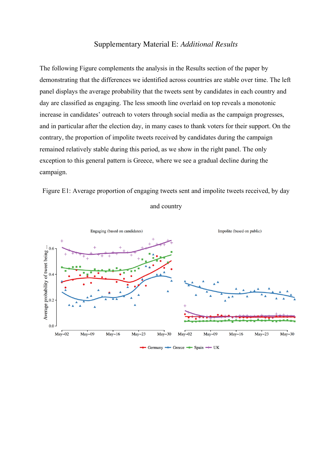## Supplementary Material E: *Additional Results*

The following Figure complements the analysis in the Results section of the paper by demonstrating that the differences we identified across countries are stable over time. The left panel displays the average probability that the tweets sent by candidates in each country and day are classified as engaging. The less smooth line overlaid on top reveals a monotonic increase in candidates' outreach to voters through social media as the campaign progresses, and in particular after the election day, in many cases to thank voters for their support. On the contrary, the proportion of impolite tweets received by candidates during the campaign remained relatively stable during this period, as we show in the right panel. The only exception to this general pattern is Greece, where we see a gradual decline during the campaign.







Germany  $\triangle$  Greece  $\triangle$  Spain  $\triangle$  UK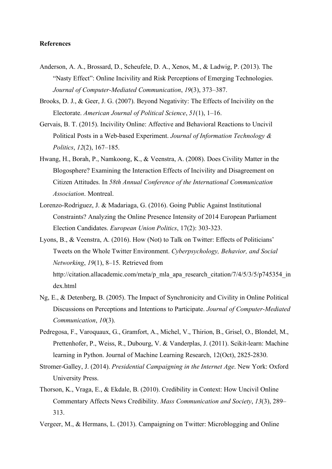#### **References**

- Anderson, A. A., Brossard, D., Scheufele, D. A., Xenos, M., & Ladwig, P. (2013). The "Nasty Effect": Online Incivility and Risk Perceptions of Emerging Technologies. *Journal of Computer-Mediated Communication*, *19*(3), 373–387.
- Brooks, D. J., & Geer, J. G. (2007). Beyond Negativity: The Effects of Incivility on the Electorate. *American Journal of Political Science*, *51*(1), 1–16.
- Gervais, B. T. (2015). Incivility Online: Affective and Behavioral Reactions to Uncivil Political Posts in a Web-based Experiment. *Journal of Information Technology & Politics*, *12*(2), 167–185.
- Hwang, H., Borah, P., Namkoong, K., & Veenstra, A. (2008). Does Civility Matter in the Blogosphere? Examining the Interaction Effects of Incivility and Disagreement on Citizen Attitudes. In *58th Annual Conference of the International Communication Association*. Montreal.
- Lorenzo-Rodriguez, J. & Madariaga, G. (2016). Going Public Against Institutional Constraints? Analyzing the Online Presence Intensity of 2014 European Parliament Election Candidates. *European Union Politics*, 17(2): 303-323.
- Lyons, B., & Veenstra, A. (2016). How (Not) to Talk on Twitter: Effects of Politicians' Tweets on the Whole Twitter Environment. *Cyberpsychology, Behavior, and Social Networking*, *19*(1), 8–15. Retrieved from http://citation.allacademic.com/meta/p\_mla\_apa\_research\_citation/7/4/5/3/5/p745354\_in
	- dex.html
- Ng, E., & Detenberg, B. (2005). The Impact of Synchronicity and Civility in Online Political Discussions on Perceptions and Intentions to Participate. *Journal of Computer-Mediated Communication*, *10*(3).
- Pedregosa, F., Varoquaux, G., Gramfort, A., Michel, V., Thirion, B., Grisel, O., Blondel, M., Prettenhofer, P., Weiss, R., Dubourg, V. & Vanderplas, J. (2011). Scikit-learn: Machine learning in Python. Journal of Machine Learning Research, 12(Oct), 2825-2830.
- Stromer-Galley, J. (2014). *Presidential Campaigning in the Internet Age*. New York: Oxford University Press.
- Thorson, K., Vraga, E., & Ekdale, B. (2010). Credibility in Context: How Uncivil Online Commentary Affects News Credibility. *Mass Communication and Society*, *13*(3), 289– 313.

Vergeer, M., & Hermans, L. (2013). Campaigning on Twitter: Microblogging and Online